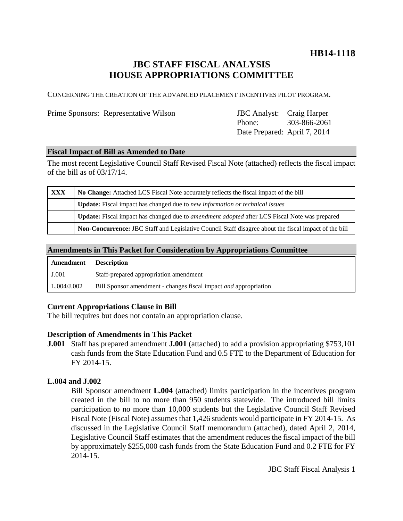# **HB14-1118**

# **JBC STAFF FISCAL ANALYSIS HOUSE APPROPRIATIONS COMMITTEE**

CONCERNING THE CREATION OF THE ADVANCED PLACEMENT INCENTIVES PILOT PROGRAM.

Prime Sponsors: Representative Wilson

| <b>JBC</b> Analyst:          | Craig Harper |
|------------------------------|--------------|
| Phone:                       | 303-866-2061 |
| Date Prepared: April 7, 2014 |              |

#### **Fiscal Impact of Bill as Amended to Date**

The most recent Legislative Council Staff Revised Fiscal Note (attached) reflects the fiscal impact of the bill as of 03/17/14.

| <b>XXX</b> | No Change: Attached LCS Fiscal Note accurately reflects the fiscal impact of the bill                 |  |
|------------|-------------------------------------------------------------------------------------------------------|--|
|            | <b>Update:</b> Fiscal impact has changed due to new information or technical issues                   |  |
|            | Update: Fiscal impact has changed due to <i>amendment adopted</i> after LCS Fiscal Note was prepared  |  |
|            | Non-Concurrence: JBC Staff and Legislative Council Staff disagree about the fiscal impact of the bill |  |

#### **Amendments in This Packet for Consideration by Appropriations Committee**

| Amendment   | <b>Description</b>                                                      |
|-------------|-------------------------------------------------------------------------|
| J.001       | Staff-prepared appropriation amendment                                  |
| L.004/J.002 | Bill Sponsor amendment - changes fiscal impact <i>and</i> appropriation |

## **Current Appropriations Clause in Bill**

The bill requires but does not contain an appropriation clause.

#### **Description of Amendments in This Packet**

**J.001** Staff has prepared amendment **J.001** (attached) to add a provision appropriating \$753,101 cash funds from the State Education Fund and 0.5 FTE to the Department of Education for FY 2014-15.

# **L.004 and J.002**

Bill Sponsor amendment **L.004** (attached) limits participation in the incentives program created in the bill to no more than 950 students statewide. The introduced bill limits participation to no more than 10,000 students but the Legislative Council Staff Revised Fiscal Note (Fiscal Note) assumes that 1,426 students would participate in FY 2014-15. As discussed in the Legislative Council Staff memorandum (attached), dated April 2, 2014, Legislative Council Staff estimates that the amendment reduces the fiscal impact of the bill by approximately \$255,000 cash funds from the State Education Fund and 0.2 FTE for FY 2014-15.

JBC Staff Fiscal Analysis 1